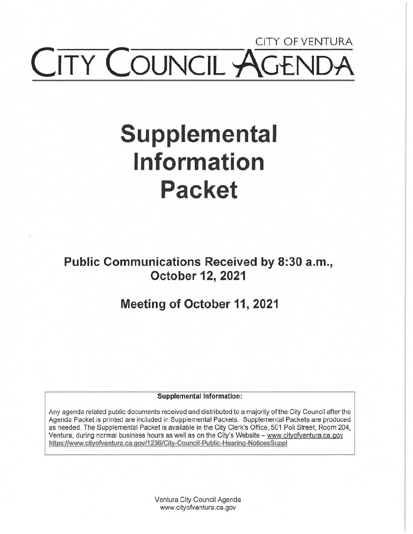## CITY OF VENTURA CITY COUNCIL AGEN

# **Supplemental Information Packet**

**Public Communications Received by 8:30 a.m., October 12, 2021** 

**Meeting of October 11, 2021** 

**Supplemental Information:** 

Any agenda related public documents received and distributed to a majority of the City Council after the Agenda Packet is printed are included in Supplemental Packets. Supplemental Packets are produced as needed. The Supplemental Packet is available in the City Clerk's Office, 501 Poli Street, Room 204, Ventura, during normal business hours as well as on the City's Website - www.cityofventura.ca.gov https://www.cityofventura.ca.gov/1236/City-Council-Public-Hearina-NoticesSuppl

> Ventura City Council Agenda www.cityofventura.ca.gov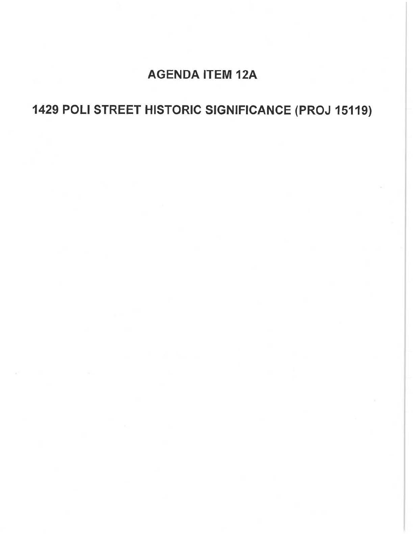## **AGENDA** ITEM 12A

## **1429 POLI** STREET **HISTORIC SIGNIFICANCE (PROJ** 15119)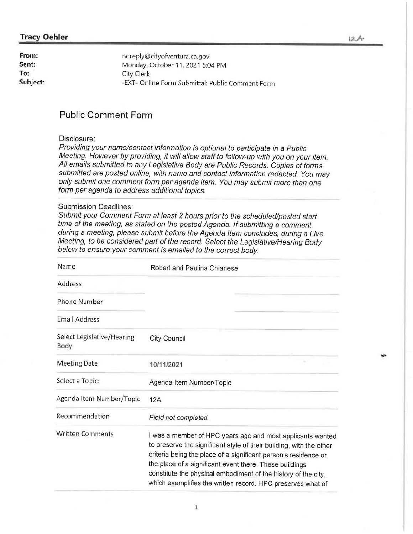#### **Tracy Oehler**

| From:    | noreply@cityofventura.ca.gov                     |
|----------|--------------------------------------------------|
| Sent:    | Monday, October 11, 2021 5:04 PM                 |
| To:      | City Clerk                                       |
| Subject: | -EXT- Online Form Submittal: Public Comment Form |

#### **Public Comment Form**

#### Disclosure:

Providing your name/contact information is optional to participate in a Public Meeting. However by providing, it will allow staff to follow-up with you on your item. All emails submitted to any Legislative Body are Public Records. Copies of forms submitted are posted online, with name and contact information redacted. You may only submit one comment form per agenda item. You may submit more than one form per agenda to address additional topics.

#### Submission Deadlines:

Submit your Comment Form at least 2 hours prior to the scheduled/posted start time of the meeting, as stated on the posted Agenda. If submitting a comment during a meeting, please submit before the Agenda Item concludes, during a Live Meeting, to be considered part of the record. Select the Legislative/Hearing Body below to ensure your comment is emailed to the correct body.

| Name                               | Robert and Paulina Chianese                                                                                                                                                                                                                                                                                                                                                                      |
|------------------------------------|--------------------------------------------------------------------------------------------------------------------------------------------------------------------------------------------------------------------------------------------------------------------------------------------------------------------------------------------------------------------------------------------------|
| Address                            |                                                                                                                                                                                                                                                                                                                                                                                                  |
| Phone Number                       |                                                                                                                                                                                                                                                                                                                                                                                                  |
| <b>Email Address</b>               |                                                                                                                                                                                                                                                                                                                                                                                                  |
| Select Legislative/Hearing<br>Body | <b>City Council</b>                                                                                                                                                                                                                                                                                                                                                                              |
| <b>Meeting Date</b>                | 10/11/2021                                                                                                                                                                                                                                                                                                                                                                                       |
| Select a Topic:                    | Agenda Item Number/Topic                                                                                                                                                                                                                                                                                                                                                                         |
| Agenda Item Number/Topic           | 12A                                                                                                                                                                                                                                                                                                                                                                                              |
| Recommendation                     | Field not completed.                                                                                                                                                                                                                                                                                                                                                                             |
| <b>Written Comments</b>            | I was a member of HPC years ago and most applicants wanted<br>to preserve the significant style of their building, with the other<br>criteria being the place of a significant person's residence or<br>the place of a significant event there. These buildings<br>constitute the physical embodiment of the history of the city,<br>which exemplifies the written record. HPC preserves what of |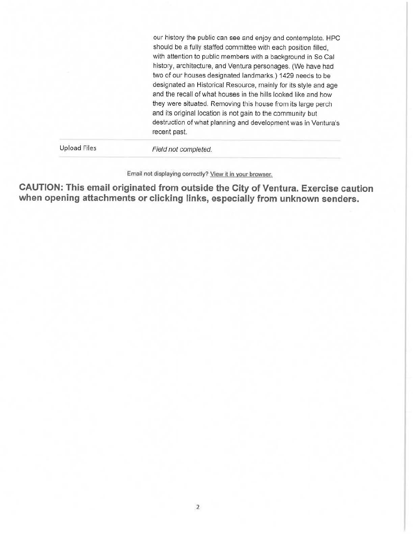our history the public can see and enjoy and contemplate. HPC should be a fully staffed committee with each position filled, with attention to public members with a background in So Cal history, architecture, and Ventura personages. (We have had two of our houses designated landmarks.) 1429 needs to be designated an Historical Resource, mainly for its style and age and the recall of what houses in the hills looked like and how they were situated. Removing this house from its large perch and its original location is not gain to the community but destruction of what planning and development was in Ventura's recent past.

Upload Files

Field not completed.

Email not displaying correctly? **Yiew 11** in **your** browser.

**CAUTION: This email originated from outside the City of Ventura. Exercise caution when opening attachments or clicking links, especially from unknown senders.**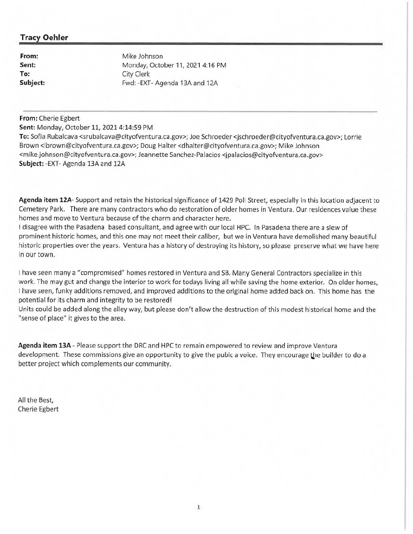#### **Tracy Oehler**

**From: Sent: To: Subject:**  Mike Johnson Monday, October 11, 2021 4: 16 PM City Clerk Fwd: -EXT- Agenda 13A and 12A

#### **From:** Cherie Egbert

**Sent:** Monday, October 11, 20214:14:59 PM

**To:** Sofia Rubalcava <srubalcava@cityofventura.ca.gov>; Joe Schroeder <jschroeder@cityofventura.ca.gov>; Lorrie Brown <lbrown@cityofventura.ca.gov>; Doug Halter <dhalter@cityofventura.ca.gov>; Mike Johnson <mike.johnson@cityofventura.ca.gov>; Jeannette Sanchez-Palacios <jpalacios@cityofventura.ca.gov> **Subject:** -EXT- Agenda 13A and 12A

**Agenda item 12A-** Support and retain the historical significance of 1429 Poli Street, especially in this location adjacent to Cemetery Park. There are many contractors who do restoration of older homes in Ventura. Our residences value these homes and move to Ventura because of the charm and character here.

I disagree with the Pasadena based consultant, and agree with our local HPC. In Pasadena there are a slew of prominent historic homes, and this one may not meet their caliber, but we in Ventura have demolished many beautiful historic properties over the years. Ventura has a history of destroying its history, so please preserve what we have here in our town.

I have seen many a "compromised" homes restored in Ventura and SB. Many General Contractors specialize in this work. The may gut and change the interior to work for todays living all while saving the home exterior. On older homes, I have seen, funky additions removed, and improved additions to the original home added back on. This home has the potential for its charm and integrity to be restored!

Units could be added along the alley way, but please don't allow the destruction of this modest historical home and the "sense of place" it gives to the area.

**Agenda item 13A-** Please support the DRC and HPC to remain empowered to review and improve Ventura development. These commissions give an opportunity to give the pubic a voice. They encourage the builder to do a better project which complements our community.

All the Best, Cherie Egbert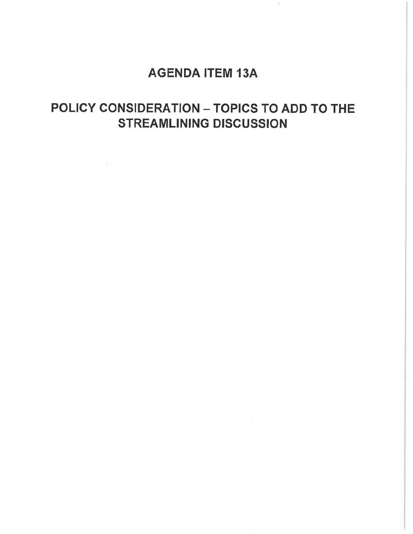### AGENDA ITEM 13A

## POLICY CONSIDERATION - TOPICS TO ADD TO THE STREAMLINING DISCUSSION